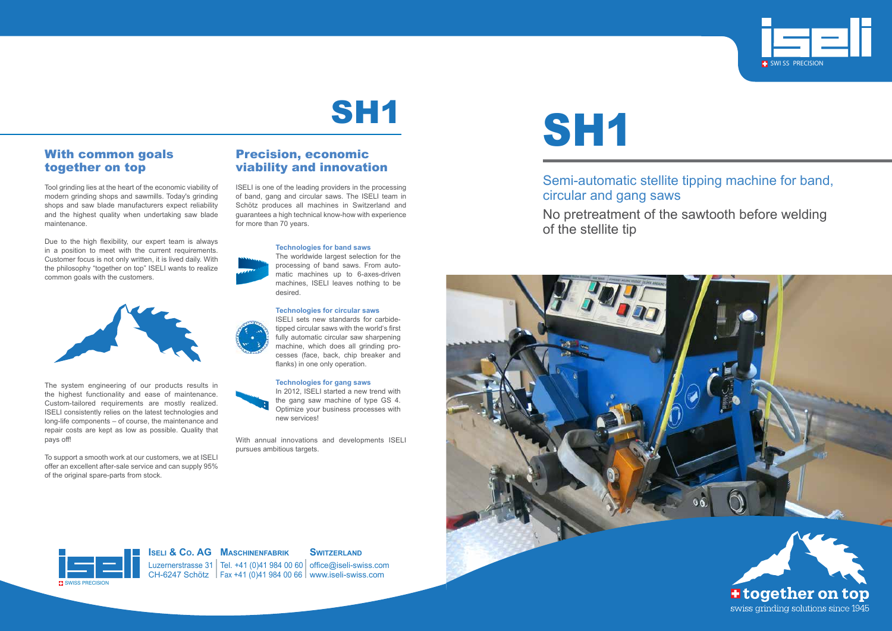## Semi-automatic stellite tipping machine for band,

circular and gang saws of the stellite tip



## No pretreatment of the sawtooth before welding





#### **Iseli & Co. AG Maschinenfabrik**

Luzernerstrasse 31 CH-6247 Schötz Tel. +41 (0)41 984 00 60 Fax +41 (0)41 984 00 66

#### **SWITZERLAND**

office@iseli-swiss.com www.iseli-swiss.com

# **SH1**

SWISS PRECISION

#### With common goals together on top

Tool grinding lies at the heart of the economic viability of modern grinding shops and sawmills. Today's grinding shops and saw blade manufacturers expect reliability and the highest quality when undertaking saw blade maintenance.

Due to the high flexibility, our expert team is always in a position to meet with the current requirements. Customer focus is not only written, it is lived daily. With the philosophy "together on top" ISELI wants to realize common goals with the customers.



The system engineering of our products results in the highest functionality and ease of maintenance. Custom-tailored requirements are mostly realized. ISELI consistently relies on the latest technologies and long-life components – of course, the maintenance and repair costs are kept as low as possible. Quality that pays off!

To support a smooth work at our customers, we at ISELI offer an excellent after-sale service and can supply 95% of the original spare-parts from stock.

#### Precision, economic viability and innovation

ISELI is one of the leading providers in the processing of band, gang and circular saws. The ISELI team in Schötz produces all machines in Switzerland and guarantees a high technical know-how with experience for more than 70 years.

#### **Technologies for band saws**

The worldwide largest selection for the processing of band saws. From automatic machines up to 6-axes-driven machines, ISELI leaves nothing to be desired.

#### **Technologies for circular saws**



ISELI sets new standards for carbidetipped circular saws with the world's first fully automatic circular saw sharpening machine, which does all grinding processes (face, back, chip breaker and flanks) in one only operation.

#### **Technologies for gang saws**



In 2012, ISELI started a new trend with the gang saw machine of type GS 4. Optimize your business processes with new services!

With annual innovations and developments ISELI pursues ambitious targets.